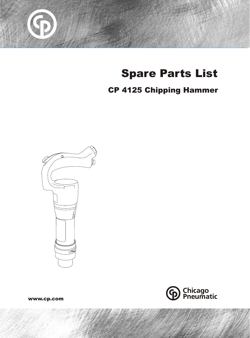

# Spare Parts List

## CP 4125 Chipping Hammer





www.cp.com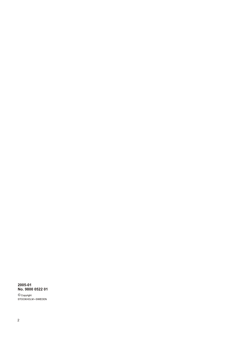## 2005-01<br>No. 9800 0522 01

© Copyright<br>STOCKHOLM • SWEDEN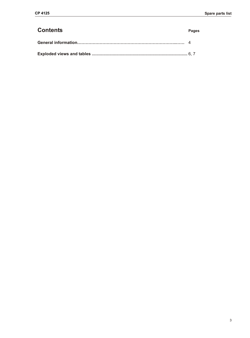#### **Contents Pages**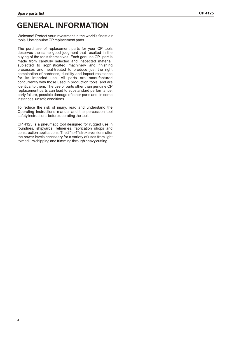## **GENERAL INFORMATION**

Welcome! Protect your investment in the world's finest air tools. Use genuine CP replacement parts.

The purchase of replacement parts for your CP tools deserves the same good judgment that resulted in the buying of the tools themselves. Each genuine CP part is made from carefully selected and inspected material, subjected to sophisticated machinery and finishing processes and heat-treated to produce just the right combination of hardness, ductility and impact resistance for its intended use. All parts are manufactured concurrently with those used in production tools, and are identical to them. The use of parts other than genuine CP replacement parts can lead to substandard performance, early failure, possible damage of other parts and, in some instances, unsafe conditions.

To reduce the risk of injury, read and understand the Operating Instructions manual and the percussion tool safety instructions before operating the tool.

CP 4125 is a pneumatic tool designed for rugged use in foundries, shipyards, refineries, fabrication shops and construction applications. The 2" to 4" stroke versions offer the power levels necessary for a variety of uses from light to medium chipping and trimming through heavy cutting.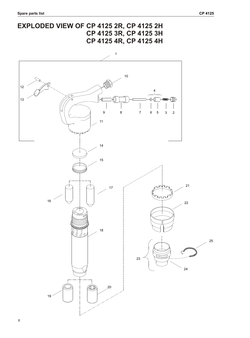### **EXPLODED VIEW OF CP 4125 2R, CP 4125 2H CP 4125 3R, CP 4125 3H CP 4125 4R, CP 4125 4H**

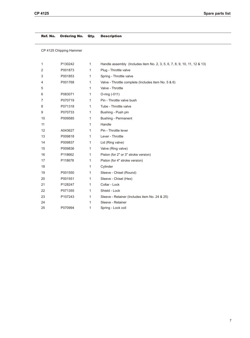Ref. No. Ordering No. Qty. Description

CP 4125 Chipping Hammer

| 1  | P130242 | 1            | Handle assembly (Includes item No. 2, 3, 5, 6, 7, 8, 9, 10, 11, 12 & 13) |
|----|---------|--------------|--------------------------------------------------------------------------|
| 2  | P001873 | 1            | Plug - Throttle valve                                                    |
| 3  | P001853 | 1            | Spring - Throttle valve                                                  |
| 4  | P001768 | 1            | Valve - Throttle complete (Includes item No. 5 & 6)                      |
| 5  |         | 1            | Valve - Throttle                                                         |
| 6  | P083071 | 1            | O-ring (-011)                                                            |
| 7  | P070719 | 1            | Pin - Throttle valve bush                                                |
| 8  | P071318 | $\mathbf{1}$ | Tube - Throttle valve                                                    |
| 9  | P070733 | 1            | Bushing - Push pin                                                       |
| 10 | P009585 | 1            | <b>Bushing - Permanent</b>                                               |
| 11 |         | 1            | Handle                                                                   |
| 12 | A043627 | 1            | Pin - Throttle lever                                                     |
| 13 | P009818 | $\mathbf{1}$ | Lever - Throttle                                                         |
| 14 | P009837 | 1            | Lid (Ring valve)                                                         |
| 15 | P009836 | 1            | Valve (Ring valve)                                                       |
| 16 | P118662 | $\mathbf{1}$ | Piston (for 2" or 3" stroke version)                                     |
| 17 | P118678 | 1            | Piston (for 4" stroke version)                                           |
| 18 |         | 1            | Cylinder                                                                 |
| 19 | P001550 | 1            | Sleeve - Chisel (Round)                                                  |
| 20 | P001551 | 1            | Sleeve - Chisel (Hex)                                                    |
| 21 | P128247 | 1            | Collar - Lock                                                            |
| 22 | P071355 | 1            | Shield - Lock                                                            |
| 23 | P107243 | 1            | Sleeve - Retainer (Includes item No. 24 & 25)                            |
| 24 |         | 1            | Sleeve - Retainer                                                        |
| 25 | P070994 | 1            | Spring - Lock coil                                                       |